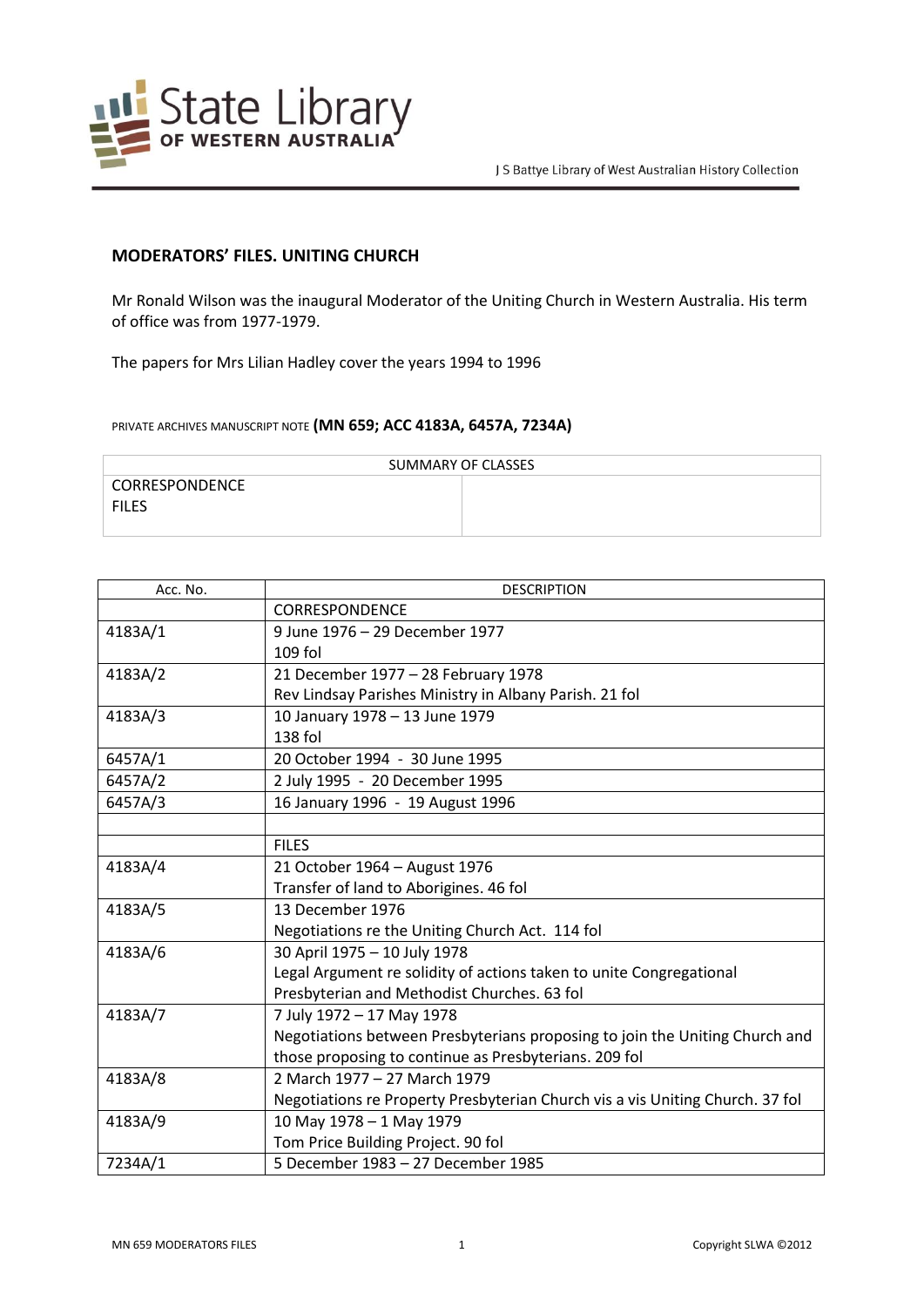

## **MODERATORS' FILES. UNITING CHURCH**

Mr Ronald Wilson was the inaugural Moderator of the Uniting Church in Western Australia. His term of office was from 1977-1979.

The papers for Mrs Lilian Hadley cover the years 1994 to 1996

PRIVATE ARCHIVES MANUSCRIPT NOTE **(MN 659; ACC 4183A, 6457A, 7234A)**

| SUMMARY OF CLASSES |  |  |
|--------------------|--|--|
| CORRESPONDENCE     |  |  |
| <b>FILES</b>       |  |  |
|                    |  |  |

| Acc. No. | <b>DESCRIPTION</b>                                                            |
|----------|-------------------------------------------------------------------------------|
|          | <b>CORRESPONDENCE</b>                                                         |
| 4183A/1  | 9 June 1976 - 29 December 1977                                                |
|          | 109 fol                                                                       |
| 4183A/2  | 21 December 1977 - 28 February 1978                                           |
|          | Rev Lindsay Parishes Ministry in Albany Parish. 21 fol                        |
| 4183A/3  | 10 January 1978 - 13 June 1979                                                |
|          | $138$ fol                                                                     |
| 6457A/1  | 20 October 1994 - 30 June 1995                                                |
| 6457A/2  | 2 July 1995 - 20 December 1995                                                |
| 6457A/3  | 16 January 1996 - 19 August 1996                                              |
|          |                                                                               |
|          | <b>FILES</b>                                                                  |
| 4183A/4  | 21 October 1964 - August 1976                                                 |
|          | Transfer of land to Aborigines. 46 fol                                        |
| 4183A/5  | 13 December 1976                                                              |
|          | Negotiations re the Uniting Church Act. 114 fol                               |
| 4183A/6  | 30 April 1975 - 10 July 1978                                                  |
|          | Legal Argument re solidity of actions taken to unite Congregational           |
|          | Presbyterian and Methodist Churches. 63 fol                                   |
| 4183A/7  | 7 July 1972 - 17 May 1978                                                     |
|          | Negotiations between Presbyterians proposing to join the Uniting Church and   |
|          | those proposing to continue as Presbyterians. 209 fol                         |
| 4183A/8  | 2 March 1977 - 27 March 1979                                                  |
|          | Negotiations re Property Presbyterian Church vis a vis Uniting Church. 37 fol |
| 4183A/9  | 10 May 1978 - 1 May 1979                                                      |
|          | Tom Price Building Project. 90 fol                                            |
| 7234A/1  | 5 December 1983 - 27 December 1985                                            |